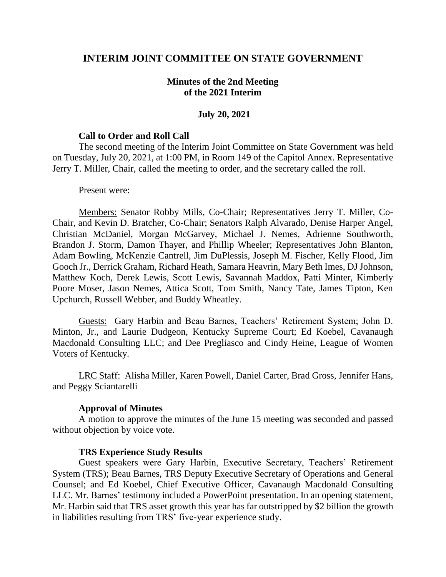## **INTERIM JOINT COMMITTEE ON STATE GOVERNMENT**

### **Minutes of the 2nd Meeting of the 2021 Interim**

#### **July 20, 2021**

#### **Call to Order and Roll Call**

The second meeting of the Interim Joint Committee on State Government was held on Tuesday, July 20, 2021, at 1:00 PM, in Room 149 of the Capitol Annex. Representative Jerry T. Miller, Chair, called the meeting to order, and the secretary called the roll.

#### Present were:

Members: Senator Robby Mills, Co-Chair; Representatives Jerry T. Miller, Co-Chair, and Kevin D. Bratcher, Co-Chair; Senators Ralph Alvarado, Denise Harper Angel, Christian McDaniel, Morgan McGarvey, Michael J. Nemes, Adrienne Southworth, Brandon J. Storm, Damon Thayer, and Phillip Wheeler; Representatives John Blanton, Adam Bowling, McKenzie Cantrell, Jim DuPlessis, Joseph M. Fischer, Kelly Flood, Jim Gooch Jr., Derrick Graham, Richard Heath, Samara Heavrin, Mary Beth Imes, DJ Johnson, Matthew Koch, Derek Lewis, Scott Lewis, Savannah Maddox, Patti Minter, Kimberly Poore Moser, Jason Nemes, Attica Scott, Tom Smith, Nancy Tate, James Tipton, Ken Upchurch, Russell Webber, and Buddy Wheatley.

Guests: Gary Harbin and Beau Barnes, Teachers' Retirement System; John D. Minton, Jr., and Laurie Dudgeon, Kentucky Supreme Court; Ed Koebel, Cavanaugh Macdonald Consulting LLC; and Dee Pregliasco and Cindy Heine, League of Women Voters of Kentucky.

LRC Staff: Alisha Miller, Karen Powell, Daniel Carter, Brad Gross, Jennifer Hans, and Peggy Sciantarelli

#### **Approval of Minutes**

A motion to approve the minutes of the June 15 meeting was seconded and passed without objection by voice vote.

#### **TRS Experience Study Results**

Guest speakers were Gary Harbin, Executive Secretary, Teachers' Retirement System (TRS); Beau Barnes, TRS Deputy Executive Secretary of Operations and General Counsel; and Ed Koebel, Chief Executive Officer, Cavanaugh Macdonald Consulting LLC. Mr. Barnes' testimony included a PowerPoint presentation. In an opening statement, Mr. Harbin said that TRS asset growth this year has far outstripped by \$2 billion the growth in liabilities resulting from TRS' five-year experience study.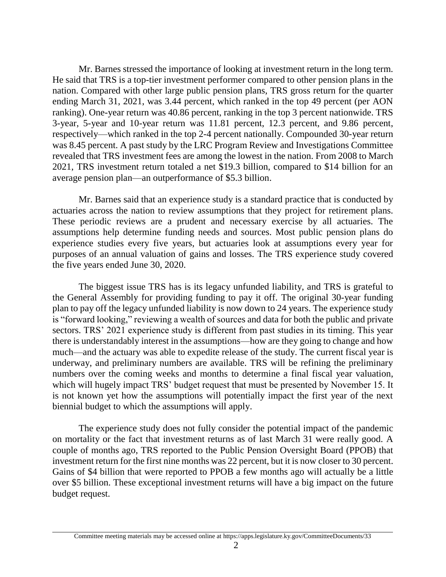Mr. Barnes stressed the importance of looking at investment return in the long term. He said that TRS is a top-tier investment performer compared to other pension plans in the nation. Compared with other large public pension plans, TRS gross return for the quarter ending March 31, 2021, was 3.44 percent, which ranked in the top 49 percent (per AON ranking). One-year return was 40.86 percent, ranking in the top 3 percent nationwide. TRS 3-year, 5-year and 10-year return was 11.81 percent, 12.3 percent, and 9.86 percent, respectively—which ranked in the top 2-4 percent nationally. Compounded 30-year return was 8.45 percent. A past study by the LRC Program Review and Investigations Committee revealed that TRS investment fees are among the lowest in the nation. From 2008 to March 2021, TRS investment return totaled a net \$19.3 billion, compared to \$14 billion for an average pension plan—an outperformance of \$5.3 billion.

Mr. Barnes said that an experience study is a standard practice that is conducted by actuaries across the nation to review assumptions that they project for retirement plans. These periodic reviews are a prudent and necessary exercise by all actuaries. The assumptions help determine funding needs and sources. Most public pension plans do experience studies every five years, but actuaries look at assumptions every year for purposes of an annual valuation of gains and losses. The TRS experience study covered the five years ended June 30, 2020.

The biggest issue TRS has is its legacy unfunded liability, and TRS is grateful to the General Assembly for providing funding to pay it off. The original 30-year funding plan to pay off the legacy unfunded liability is now down to 24 years. The experience study is "forward looking," reviewing a wealth of sources and data for both the public and private sectors. TRS' 2021 experience study is different from past studies in its timing. This year there is understandably interest in the assumptions—how are they going to change and how much—and the actuary was able to expedite release of the study. The current fiscal year is underway, and preliminary numbers are available. TRS will be refining the preliminary numbers over the coming weeks and months to determine a final fiscal year valuation, which will hugely impact TRS' budget request that must be presented by November 15. It is not known yet how the assumptions will potentially impact the first year of the next biennial budget to which the assumptions will apply.

The experience study does not fully consider the potential impact of the pandemic on mortality or the fact that investment returns as of last March 31 were really good. A couple of months ago, TRS reported to the Public Pension Oversight Board (PPOB) that investment return for the first nine months was 22 percent, but it is now closer to 30 percent. Gains of \$4 billion that were reported to PPOB a few months ago will actually be a little over \$5 billion. These exceptional investment returns will have a big impact on the future budget request.

Committee meeting materials may be accessed online at https://apps.legislature.ky.gov/CommitteeDocuments/33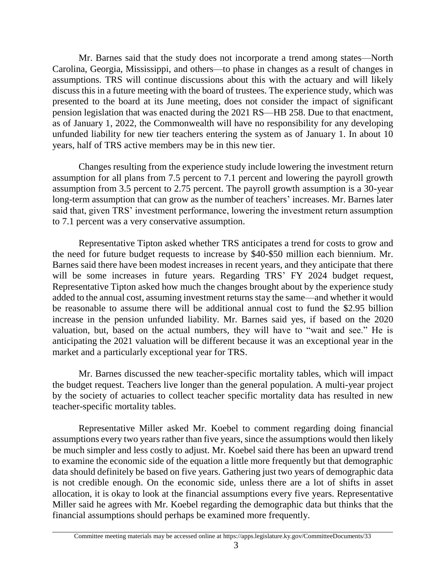Mr. Barnes said that the study does not incorporate a trend among states—North Carolina, Georgia, Mississippi, and others—to phase in changes as a result of changes in assumptions. TRS will continue discussions about this with the actuary and will likely discuss this in a future meeting with the board of trustees. The experience study, which was presented to the board at its June meeting, does not consider the impact of significant pension legislation that was enacted during the 2021 RS—HB 258. Due to that enactment, as of January 1, 2022, the Commonwealth will have no responsibility for any developing unfunded liability for new tier teachers entering the system as of January 1. In about 10 years, half of TRS active members may be in this new tier.

Changes resulting from the experience study include lowering the investment return assumption for all plans from 7.5 percent to 7.1 percent and lowering the payroll growth assumption from 3.5 percent to 2.75 percent. The payroll growth assumption is a 30-year long-term assumption that can grow as the number of teachers' increases. Mr. Barnes later said that, given TRS' investment performance, lowering the investment return assumption to 7.1 percent was a very conservative assumption.

Representative Tipton asked whether TRS anticipates a trend for costs to grow and the need for future budget requests to increase by \$40-\$50 million each biennium. Mr. Barnes said there have been modest increases in recent years, and they anticipate that there will be some increases in future years. Regarding TRS' FY 2024 budget request, Representative Tipton asked how much the changes brought about by the experience study added to the annual cost, assuming investment returns stay the same—and whether it would be reasonable to assume there will be additional annual cost to fund the \$2.95 billion increase in the pension unfunded liability. Mr. Barnes said yes, if based on the 2020 valuation, but, based on the actual numbers, they will have to "wait and see." He is anticipating the 2021 valuation will be different because it was an exceptional year in the market and a particularly exceptional year for TRS.

Mr. Barnes discussed the new teacher-specific mortality tables, which will impact the budget request. Teachers live longer than the general population. A multi-year project by the society of actuaries to collect teacher specific mortality data has resulted in new teacher-specific mortality tables.

Representative Miller asked Mr. Koebel to comment regarding doing financial assumptions every two years rather than five years, since the assumptions would then likely be much simpler and less costly to adjust. Mr. Koebel said there has been an upward trend to examine the economic side of the equation a little more frequently but that demographic data should definitely be based on five years. Gathering just two years of demographic data is not credible enough. On the economic side, unless there are a lot of shifts in asset allocation, it is okay to look at the financial assumptions every five years. Representative Miller said he agrees with Mr. Koebel regarding the demographic data but thinks that the financial assumptions should perhaps be examined more frequently.

Committee meeting materials may be accessed online at https://apps.legislature.ky.gov/CommitteeDocuments/33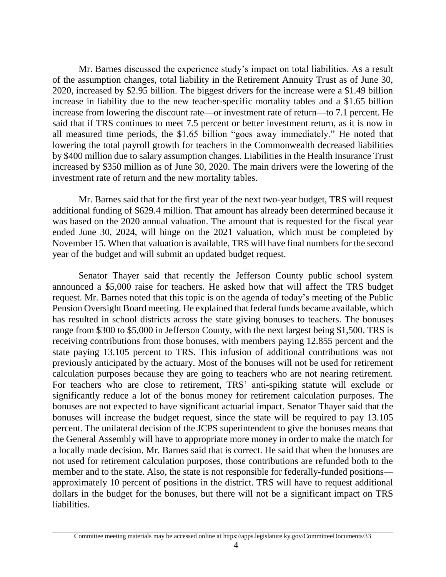Mr. Barnes discussed the experience study's impact on total liabilities. As a result of the assumption changes, total liability in the Retirement Annuity Trust as of June 30, 2020, increased by \$2.95 billion. The biggest drivers for the increase were a \$1.49 billion increase in liability due to the new teacher-specific mortality tables and a \$1.65 billion increase from lowering the discount rate—or investment rate of return—to 7.1 percent. He said that if TRS continues to meet 7.5 percent or better investment return, as it is now in all measured time periods, the \$1.65 billion "goes away immediately." He noted that lowering the total payroll growth for teachers in the Commonwealth decreased liabilities by \$400 million due to salary assumption changes. Liabilities in the Health Insurance Trust increased by \$350 million as of June 30, 2020. The main drivers were the lowering of the investment rate of return and the new mortality tables.

Mr. Barnes said that for the first year of the next two-year budget, TRS will request additional funding of \$629.4 million. That amount has already been determined because it was based on the 2020 annual valuation. The amount that is requested for the fiscal year ended June 30, 2024, will hinge on the 2021 valuation, which must be completed by November 15. When that valuation is available, TRS will have final numbers for the second year of the budget and will submit an updated budget request.

Senator Thayer said that recently the Jefferson County public school system announced a \$5,000 raise for teachers. He asked how that will affect the TRS budget request. Mr. Barnes noted that this topic is on the agenda of today's meeting of the Public Pension Oversight Board meeting. He explained that federal funds became available, which has resulted in school districts across the state giving bonuses to teachers. The bonuses range from \$300 to \$5,000 in Jefferson County, with the next largest being \$1,500. TRS is receiving contributions from those bonuses, with members paying 12.855 percent and the state paying 13.105 percent to TRS. This infusion of additional contributions was not previously anticipated by the actuary. Most of the bonuses will not be used for retirement calculation purposes because they are going to teachers who are not nearing retirement. For teachers who are close to retirement, TRS' anti-spiking statute will exclude or significantly reduce a lot of the bonus money for retirement calculation purposes. The bonuses are not expected to have significant actuarial impact. Senator Thayer said that the bonuses will increase the budget request, since the state will be required to pay 13.105 percent. The unilateral decision of the JCPS superintendent to give the bonuses means that the General Assembly will have to appropriate more money in order to make the match for a locally made decision. Mr. Barnes said that is correct. He said that when the bonuses are not used for retirement calculation purposes, those contributions are refunded both to the member and to the state. Also, the state is not responsible for federally-funded positions approximately 10 percent of positions in the district. TRS will have to request additional dollars in the budget for the bonuses, but there will not be a significant impact on TRS liabilities.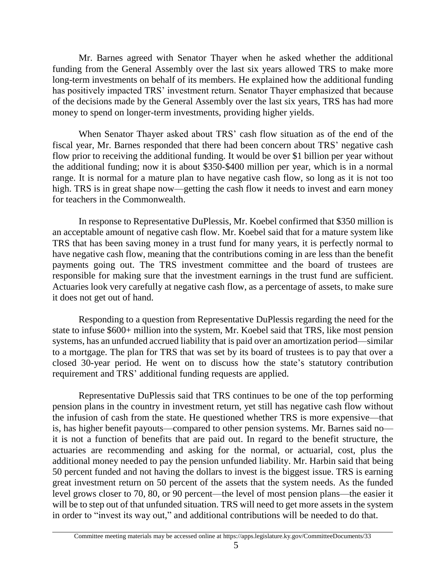Mr. Barnes agreed with Senator Thayer when he asked whether the additional funding from the General Assembly over the last six years allowed TRS to make more long-term investments on behalf of its members. He explained how the additional funding has positively impacted TRS' investment return. Senator Thayer emphasized that because of the decisions made by the General Assembly over the last six years, TRS has had more money to spend on longer-term investments, providing higher yields.

When Senator Thayer asked about TRS' cash flow situation as of the end of the fiscal year, Mr. Barnes responded that there had been concern about TRS' negative cash flow prior to receiving the additional funding. It would be over \$1 billion per year without the additional funding; now it is about \$350-\$400 million per year, which is in a normal range. It is normal for a mature plan to have negative cash flow, so long as it is not too high. TRS is in great shape now—getting the cash flow it needs to invest and earn money for teachers in the Commonwealth.

In response to Representative DuPlessis, Mr. Koebel confirmed that \$350 million is an acceptable amount of negative cash flow. Mr. Koebel said that for a mature system like TRS that has been saving money in a trust fund for many years, it is perfectly normal to have negative cash flow, meaning that the contributions coming in are less than the benefit payments going out. The TRS investment committee and the board of trustees are responsible for making sure that the investment earnings in the trust fund are sufficient. Actuaries look very carefully at negative cash flow, as a percentage of assets, to make sure it does not get out of hand.

Responding to a question from Representative DuPlessis regarding the need for the state to infuse \$600+ million into the system, Mr. Koebel said that TRS, like most pension systems, has an unfunded accrued liability that is paid over an amortization period—similar to a mortgage. The plan for TRS that was set by its board of trustees is to pay that over a closed 30-year period. He went on to discuss how the state's statutory contribution requirement and TRS' additional funding requests are applied.

Representative DuPlessis said that TRS continues to be one of the top performing pension plans in the country in investment return, yet still has negative cash flow without the infusion of cash from the state. He questioned whether TRS is more expensive—that is, has higher benefit payouts—compared to other pension systems. Mr. Barnes said no it is not a function of benefits that are paid out. In regard to the benefit structure, the actuaries are recommending and asking for the normal, or actuarial, cost, plus the additional money needed to pay the pension unfunded liability. Mr. Harbin said that being 50 percent funded and not having the dollars to invest is the biggest issue. TRS is earning great investment return on 50 percent of the assets that the system needs. As the funded level grows closer to 70, 80, or 90 percent—the level of most pension plans—the easier it will be to step out of that unfunded situation. TRS will need to get more assets in the system in order to "invest its way out," and additional contributions will be needed to do that.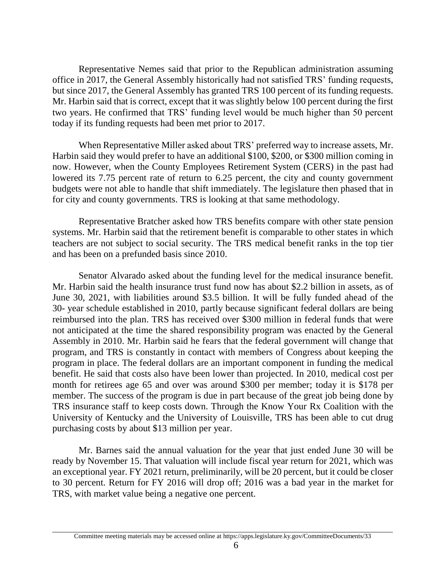Representative Nemes said that prior to the Republican administration assuming office in 2017, the General Assembly historically had not satisfied TRS' funding requests, but since 2017, the General Assembly has granted TRS 100 percent of its funding requests. Mr. Harbin said that is correct, except that it was slightly below 100 percent during the first two years. He confirmed that TRS' funding level would be much higher than 50 percent today if its funding requests had been met prior to 2017.

When Representative Miller asked about TRS' preferred way to increase assets, Mr. Harbin said they would prefer to have an additional \$100, \$200, or \$300 million coming in now. However, when the County Employees Retirement System (CERS) in the past had lowered its 7.75 percent rate of return to 6.25 percent, the city and county government budgets were not able to handle that shift immediately. The legislature then phased that in for city and county governments. TRS is looking at that same methodology.

Representative Bratcher asked how TRS benefits compare with other state pension systems. Mr. Harbin said that the retirement benefit is comparable to other states in which teachers are not subject to social security. The TRS medical benefit ranks in the top tier and has been on a prefunded basis since 2010.

Senator Alvarado asked about the funding level for the medical insurance benefit. Mr. Harbin said the health insurance trust fund now has about \$2.2 billion in assets, as of June 30, 2021, with liabilities around \$3.5 billion. It will be fully funded ahead of the 30- year schedule established in 2010, partly because significant federal dollars are being reimbursed into the plan. TRS has received over \$300 million in federal funds that were not anticipated at the time the shared responsibility program was enacted by the General Assembly in 2010. Mr. Harbin said he fears that the federal government will change that program, and TRS is constantly in contact with members of Congress about keeping the program in place. The federal dollars are an important component in funding the medical benefit. He said that costs also have been lower than projected. In 2010, medical cost per month for retirees age 65 and over was around \$300 per member; today it is \$178 per member. The success of the program is due in part because of the great job being done by TRS insurance staff to keep costs down. Through the Know Your Rx Coalition with the University of Kentucky and the University of Louisville, TRS has been able to cut drug purchasing costs by about \$13 million per year.

Mr. Barnes said the annual valuation for the year that just ended June 30 will be ready by November 15. That valuation will include fiscal year return for 2021, which was an exceptional year. FY 2021 return, preliminarily, will be 20 percent, but it could be closer to 30 percent. Return for FY 2016 will drop off; 2016 was a bad year in the market for TRS, with market value being a negative one percent.

Committee meeting materials may be accessed online at https://apps.legislature.ky.gov/CommitteeDocuments/33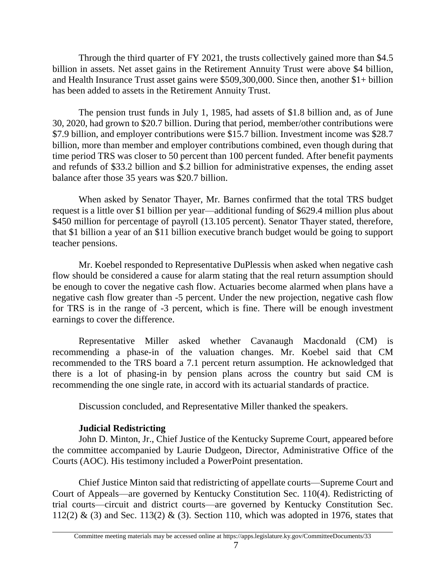Through the third quarter of FY 2021, the trusts collectively gained more than \$4.5 billion in assets. Net asset gains in the Retirement Annuity Trust were above \$4 billion, and Health Insurance Trust asset gains were \$509,300,000. Since then, another \$1+ billion has been added to assets in the Retirement Annuity Trust.

The pension trust funds in July 1, 1985, had assets of \$1.8 billion and, as of June 30, 2020, had grown to \$20.7 billion. During that period, member/other contributions were \$7.9 billion, and employer contributions were \$15.7 billion. Investment income was \$28.7 billion, more than member and employer contributions combined, even though during that time period TRS was closer to 50 percent than 100 percent funded. After benefit payments and refunds of \$33.2 billion and \$.2 billion for administrative expenses, the ending asset balance after those 35 years was \$20.7 billion.

When asked by Senator Thayer, Mr. Barnes confirmed that the total TRS budget request is a little over \$1 billion per year—additional funding of \$629.4 million plus about \$450 million for percentage of payroll (13.105 percent). Senator Thayer stated, therefore, that \$1 billion a year of an \$11 billion executive branch budget would be going to support teacher pensions.

Mr. Koebel responded to Representative DuPlessis when asked when negative cash flow should be considered a cause for alarm stating that the real return assumption should be enough to cover the negative cash flow. Actuaries become alarmed when plans have a negative cash flow greater than -5 percent. Under the new projection, negative cash flow for TRS is in the range of -3 percent, which is fine. There will be enough investment earnings to cover the difference.

Representative Miller asked whether Cavanaugh Macdonald (CM) is recommending a phase-in of the valuation changes. Mr. Koebel said that CM recommended to the TRS board a 7.1 percent return assumption. He acknowledged that there is a lot of phasing-in by pension plans across the country but said CM is recommending the one single rate, in accord with its actuarial standards of practice.

Discussion concluded, and Representative Miller thanked the speakers.

# **Judicial Redistricting**

John D. Minton, Jr., Chief Justice of the Kentucky Supreme Court, appeared before the committee accompanied by Laurie Dudgeon, Director, Administrative Office of the Courts (AOC). His testimony included a PowerPoint presentation.

Chief Justice Minton said that redistricting of appellate courts—Supreme Court and Court of Appeals—are governed by Kentucky Constitution Sec. 110(4). Redistricting of trial courts—circuit and district courts—are governed by Kentucky Constitution Sec. 112(2) & (3) and Sec. 113(2) & (3). Section 110, which was adopted in 1976, states that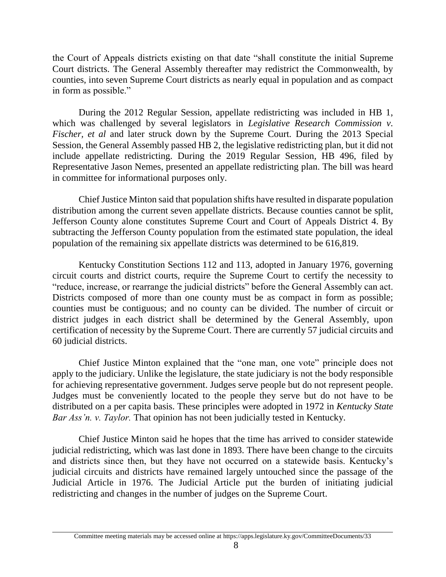the Court of Appeals districts existing on that date "shall constitute the initial Supreme Court districts. The General Assembly thereafter may redistrict the Commonwealth, by counties, into seven Supreme Court districts as nearly equal in population and as compact in form as possible."

During the 2012 Regular Session, appellate redistricting was included in HB 1, which was challenged by several legislators in *Legislative Research Commission v. Fischer, et al and later struck down by the Supreme Court. During the 2013 Special* Session, the General Assembly passed HB 2, the legislative redistricting plan, but it did not include appellate redistricting. During the 2019 Regular Session, HB 496, filed by Representative Jason Nemes, presented an appellate redistricting plan. The bill was heard in committee for informational purposes only.

Chief Justice Minton said that population shifts have resulted in disparate population distribution among the current seven appellate districts. Because counties cannot be split, Jefferson County alone constitutes Supreme Court and Court of Appeals District 4. By subtracting the Jefferson County population from the estimated state population, the ideal population of the remaining six appellate districts was determined to be 616,819.

Kentucky Constitution Sections 112 and 113, adopted in January 1976, governing circuit courts and district courts, require the Supreme Court to certify the necessity to "reduce, increase, or rearrange the judicial districts" before the General Assembly can act. Districts composed of more than one county must be as compact in form as possible; counties must be contiguous; and no county can be divided. The number of circuit or district judges in each district shall be determined by the General Assembly, upon certification of necessity by the Supreme Court. There are currently 57 judicial circuits and 60 judicial districts.

Chief Justice Minton explained that the "one man, one vote" principle does not apply to the judiciary. Unlike the legislature, the state judiciary is not the body responsible for achieving representative government. Judges serve people but do not represent people. Judges must be conveniently located to the people they serve but do not have to be distributed on a per capita basis. These principles were adopted in 1972 in *Kentucky State Bar Ass'n. v. Taylor.* That opinion has not been judicially tested in Kentucky.

Chief Justice Minton said he hopes that the time has arrived to consider statewide judicial redistricting, which was last done in 1893. There have been change to the circuits and districts since then, but they have not occurred on a statewide basis. Kentucky's judicial circuits and districts have remained largely untouched since the passage of the Judicial Article in 1976. The Judicial Article put the burden of initiating judicial redistricting and changes in the number of judges on the Supreme Court.

Committee meeting materials may be accessed online at https://apps.legislature.ky.gov/CommitteeDocuments/33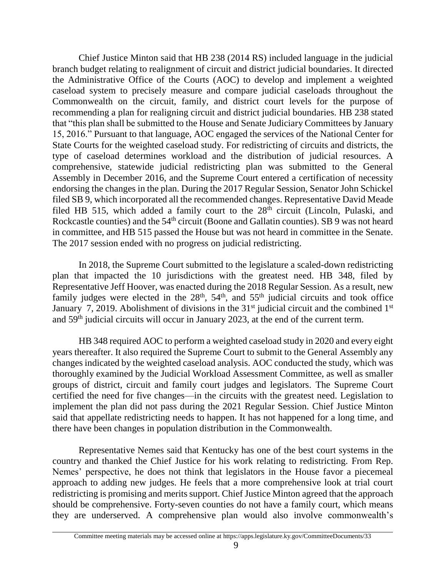Chief Justice Minton said that HB 238 (2014 RS) included language in the judicial branch budget relating to realignment of circuit and district judicial boundaries. It directed the Administrative Office of the Courts (AOC) to develop and implement a weighted caseload system to precisely measure and compare judicial caseloads throughout the Commonwealth on the circuit, family, and district court levels for the purpose of recommending a plan for realigning circuit and district judicial boundaries. HB 238 stated that "this plan shall be submitted to the House and Senate Judiciary Committees by January 15, 2016." Pursuant to that language, AOC engaged the services of the National Center for State Courts for the weighted caseload study. For redistricting of circuits and districts, the type of caseload determines workload and the distribution of judicial resources. A comprehensive, statewide judicial redistricting plan was submitted to the General Assembly in December 2016, and the Supreme Court entered a certification of necessity endorsing the changes in the plan. During the 2017 Regular Session, Senator John Schickel filed SB 9, which incorporated all the recommended changes. Representative David Meade filed HB 515, which added a family court to the  $28<sup>th</sup>$  circuit (Lincoln, Pulaski, and Rockcastle counties) and the 54<sup>th</sup> circuit (Boone and Gallatin counties). SB 9 was not heard in committee, and HB 515 passed the House but was not heard in committee in the Senate. The 2017 session ended with no progress on judicial redistricting.

In 2018, the Supreme Court submitted to the legislature a scaled-down redistricting plan that impacted the 10 jurisdictions with the greatest need. HB 348, filed by Representative Jeff Hoover, was enacted during the 2018 Regular Session. As a result, new family judges were elected in the  $28<sup>th</sup>$ ,  $54<sup>th</sup>$ , and  $55<sup>th</sup>$  judicial circuits and took office January 7, 2019. Abolishment of divisions in the  $31<sup>st</sup>$  judicial circuit and the combined  $1<sup>st</sup>$ and 59th judicial circuits will occur in January 2023, at the end of the current term.

HB 348 required AOC to perform a weighted caseload study in 2020 and every eight years thereafter. It also required the Supreme Court to submit to the General Assembly any changes indicated by the weighted caseload analysis. AOC conducted the study, which was thoroughly examined by the Judicial Workload Assessment Committee, as well as smaller groups of district, circuit and family court judges and legislators. The Supreme Court certified the need for five changes—in the circuits with the greatest need. Legislation to implement the plan did not pass during the 2021 Regular Session. Chief Justice Minton said that appellate redistricting needs to happen. It has not happened for a long time, and there have been changes in population distribution in the Commonwealth.

Representative Nemes said that Kentucky has one of the best court systems in the country and thanked the Chief Justice for his work relating to redistricting. From Rep. Nemes' perspective, he does not think that legislators in the House favor a piecemeal approach to adding new judges. He feels that a more comprehensive look at trial court redistricting is promising and merits support. Chief Justice Minton agreed that the approach should be comprehensive. Forty-seven counties do not have a family court, which means they are underserved. A comprehensive plan would also involve commonwealth's

Committee meeting materials may be accessed online at https://apps.legislature.ky.gov/CommitteeDocuments/33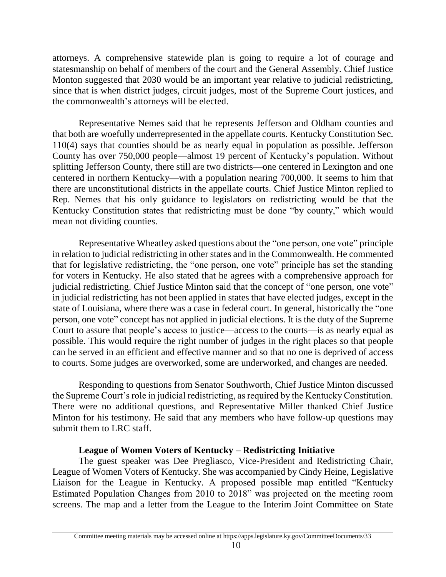attorneys. A comprehensive statewide plan is going to require a lot of courage and statesmanship on behalf of members of the court and the General Assembly. Chief Justice Monton suggested that 2030 would be an important year relative to judicial redistricting, since that is when district judges, circuit judges, most of the Supreme Court justices, and the commonwealth's attorneys will be elected.

Representative Nemes said that he represents Jefferson and Oldham counties and that both are woefully underrepresented in the appellate courts. Kentucky Constitution Sec. 110(4) says that counties should be as nearly equal in population as possible. Jefferson County has over 750,000 people—almost 19 percent of Kentucky's population. Without splitting Jefferson County, there still are two districts—one centered in Lexington and one centered in northern Kentucky—with a population nearing 700,000. It seems to him that there are unconstitutional districts in the appellate courts. Chief Justice Minton replied to Rep. Nemes that his only guidance to legislators on redistricting would be that the Kentucky Constitution states that redistricting must be done "by county," which would mean not dividing counties.

Representative Wheatley asked questions about the "one person, one vote" principle in relation to judicial redistricting in other states and in the Commonwealth. He commented that for legislative redistricting, the "one person, one vote" principle has set the standing for voters in Kentucky. He also stated that he agrees with a comprehensive approach for judicial redistricting. Chief Justice Minton said that the concept of "one person, one vote" in judicial redistricting has not been applied in states that have elected judges, except in the state of Louisiana, where there was a case in federal court. In general, historically the "one person, one vote" concept has not applied in judicial elections. It is the duty of the Supreme Court to assure that people's access to justice—access to the courts—is as nearly equal as possible. This would require the right number of judges in the right places so that people can be served in an efficient and effective manner and so that no one is deprived of access to courts. Some judges are overworked, some are underworked, and changes are needed.

Responding to questions from Senator Southworth, Chief Justice Minton discussed the Supreme Court's role in judicial redistricting, as required by the Kentucky Constitution. There were no additional questions, and Representative Miller thanked Chief Justice Minton for his testimony. He said that any members who have follow-up questions may submit them to LRC staff.

# **League of Women Voters of Kentucky – Redistricting Initiative**

The guest speaker was Dee Pregliasco, Vice-President and Redistricting Chair, League of Women Voters of Kentucky. She was accompanied by Cindy Heine, Legislative Liaison for the League in Kentucky. A proposed possible map entitled "Kentucky Estimated Population Changes from 2010 to 2018" was projected on the meeting room screens. The map and a letter from the League to the Interim Joint Committee on State